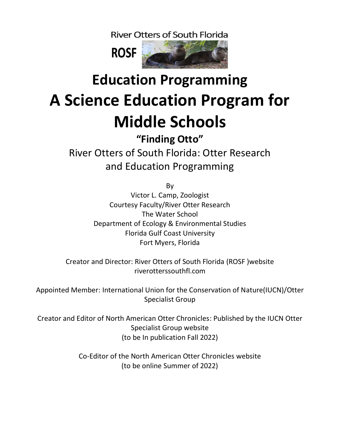**River Otters of South Florida** 



# **Education Programming A Science Education Program for Middle Schools**

**"Finding Otto"** River Otters of South Florida: Otter Research and Education Programming

By

Victor L. Camp, Zoologist Courtesy Faculty/River Otter Research The Water School Department of Ecology & Environmental Studies Florida Gulf Coast University Fort Myers, Florida

Creator and Director: River Otters of South Florida (ROSF )website riverotterssouthfl.com

Appointed Member: International Union for the Conservation of Nature(IUCN)/Otter Specialist Group

Creator and Editor of North American Otter Chronicles: Published by the IUCN Otter Specialist Group website (to be In publication Fall 2022)

> Co-Editor of the North American Otter Chronicles website (to be online Summer of 2022)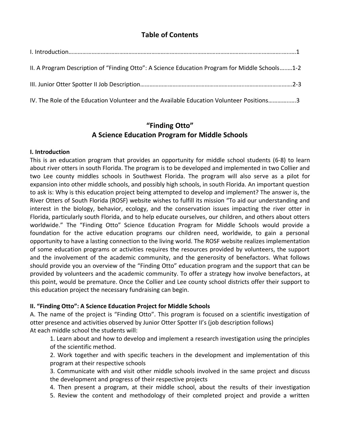## **Table of Contents**

| II. A Program Description of "Finding Otto": A Science Education Program for Middle Schools1-2 |  |
|------------------------------------------------------------------------------------------------|--|
|                                                                                                |  |
| IV. The Role of the Education Volunteer and the Available Education Volunteer Positions3       |  |

## **"Finding Otto" A Science Education Program for Middle Schools**

#### **I. Introduction**

This is an education program that provides an opportunity for middle school students (6-8) to learn about river otters in south Florida. The program is to be developed and implemented in two Collier and two Lee county middles schools in Southwest Florida. The program will also serve as a pilot for expansion into other middle schools, and possibly high schools, in south Florida. An important question to ask is: Why is this education project being attempted to develop and implement? The answer is, the River Otters of South Florida (ROSF) website wishes to fulfill its mission "To aid our understanding and interest in the biology, behavior, ecology, and the conservation issues impacting the river otter in Florida, particularly south Florida, and to help educate ourselves, our children, and others about otters worldwide." The "Finding Otto" Science Education Program for Middle Schools would provide a foundation for the active education programs our children need, worldwide, to gain a personal opportunity to have a lasting connection to the living world. The ROSF website realizes implementation of some education programs or activities requires the resources provided by volunteers, the support and the involvement of the academic community, and the generosity of benefactors. What follows should provide you an overview of the "Finding Otto" education program and the support that can be provided by volunteers and the academic community. To offer a strategy how involve benefactors, at this point, would be premature. Once the Collier and Lee county school districts offer their support to this education project the necessary fundraising can begin.

### **II. "Finding Otto": A Science Education Project for Middle Schools**

A. The name of the project is "Finding Otto". This program is focused on a scientific investigation of otter presence and activities observed by Junior Otter Spotter II's (job description follows) At each middle school the students will:

1. Learn about and how to develop and implement a research investigation using the principles of the scientific method.

2. Work together and with specific teachers in the development and implementation of this program at their respective schools

3. Communicate with and visit other middle schools involved in the same project and discuss the development and progress of their respective projects

4. Then present a program, at their middle school, about the results of their investigation 5. Review the content and methodology of their completed project and provide a written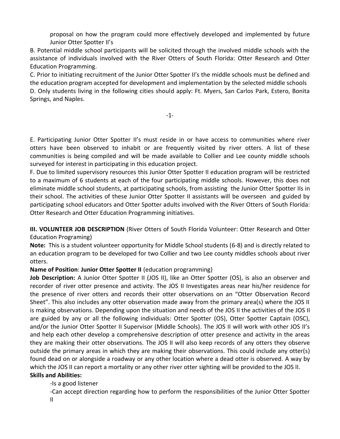proposal on how the program could more effectively developed and implemented by future Junior Otter Spotter II's

B. Potential middle school participants will be solicited through the involved middle schools with the assistance of individuals involved with the River Otters of South Florida: Otter Research and Otter Education Programming.

C. Prior to initiating recruitment of the Junior Otter Spotter II's the middle schools must be defined and the education program accepted for development and implementation by the selected middle schools D. Only students living in the following cities should apply: Ft. Myers, San Carlos Park, Estero, Bonita Springs, and Naples.

-1-

E. Participating Junior Otter Spotter II's must reside in or have access to communities where river otters have been observed to inhabit or are frequently visited by river otters. A list of these communities is being compiled and will be made available to Collier and Lee county middle schools surveyed for interest in participating in this education project.

F. Due to limited supervisory resources this Junior Otter Spotter II education program will be restricted to a maximum of 6 students at each of the four participating middle schools. However, this does not eliminate middle school students, at participating schools, from assisting the Junior Otter Spotter IIs in their school. The activities of these Junior Otter Spotter II assistants will be overseen and guided by participating school educators and Otter Spotter adults involved with the River Otters of South Florida: Otter Research and Otter Education Programming initiatives.

**III. VOLUNTEER JOB DESCRIPTION** (River Otters of South Florida Volunteer: Otter Research and Otter Education Programing)

**Note:** This is a student volunteer opportunity for Middle School students (6-8) and is directly related to an education program to be developed for two Collier and two Lee county middles schools about river otters.

### **Name of Position**: **Junior Otter Spotter II** (education programming)

**Job Description:** A Junior Otter Spotter II (JOS II), like an Otter Spotter (OS), is also an observer and recorder of river otter presence and activity. The JOS II Investigates areas near his/her residence for the presence of river otters and records their otter observations on an "Otter Observation Record Sheet". This also includes any otter observation made away from the primary area(s) where the JOS II is making observations. Depending upon the situation and needs of the JOS II the activities of the JOS II are guided by any or all the following individuals: Otter Spotter (OS), Otter Spotter Captain (OSC), and/or the Junior Otter Spotter II Supervisor (Middle Schools). The JOS II will work with other JOS II's and help each other develop a comprehensive description of otter presence and activity in the areas they are making their otter observations. The JOS II will also keep records of any otters they observe outside the primary areas in which they are making their observations. This could include any otter(s) found dead on or alongside a roadway or any other location where a dead otter is observed. A way by which the JOS II can report a mortality or any other river otter sighting will be provided to the JOS II. **Skills and Abilities:**

-Is a good listener

-Can accept direction regarding how to perform the responsibilities of the Junior Otter Spotter II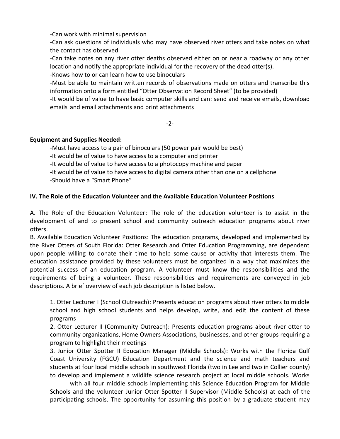-Can work with minimal supervision

-Can ask questions of individuals who may have observed river otters and take notes on what the contact has observed

-Can take notes on any river otter deaths observed either on or near a roadway or any other location and notify the appropriate individual for the recovery of the dead otter(s).

-Knows how to or can learn how to use binoculars

-Must be able to maintain written records of observations made on otters and transcribe this information onto a form entitled "Otter Observation Record Sheet" (to be provided)

-It would be of value to have basic computer skills and can: send and receive emails, download emails and email attachments and print attachments

-2-

#### **Equipment and Supplies Needed:**

-Must have access to a pair of binoculars (50 power pair would be best)

-It would be of value to have access to a computer and printer

-It would be of value to have access to a photocopy machine and paper

-It would be of value to have access to digital camera other than one on a cellphone -Should have a "Smart Phone"

### **IV. The Role of the Education Volunteer and the Available Education Volunteer Positions**

A. The Role of the Education Volunteer: The role of the education volunteer is to assist in the development of and to present school and community outreach education programs about river otters.

B. Available Education Volunteer Positions: The education programs, developed and implemented by the River Otters of South Florida: Otter Research and Otter Education Programming, are dependent upon people willing to donate their time to help some cause or activity that interests them. The education assistance provided by these volunteers must be organized in a way that maximizes the potential success of an education program. A volunteer must know the responsibilities and the requirements of being a volunteer. These responsibilities and requirements are conveyed in job descriptions. A brief overview of each job description is listed below.

1. Otter Lecturer I (School Outreach): Presents education programs about river otters to middle school and high school students and helps develop, write, and edit the content of these programs

2. Otter Lecturer II (Community Outreach): Presents education programs about river otter to community organizations, Home Owners Associations, businesses, and other groups requiring a program to highlight their meetings

3. Junior Otter Spotter II Education Manager (Middle Schools): Works with the Florida Gulf Coast University (FGCU) Education Department and the science and math teachers and students at four local middle schools in southwest Florida (two in Lee and two in Collier county) to develop and implement a wildlife science research project at local middle schools. Works

with all four middle schools implementing this Science Education Program for Middle Schools and the volunteer Junior Otter Spotter II Supervisor (Middle Schools) at each of the participating schools. The opportunity for assuming this position by a graduate student may